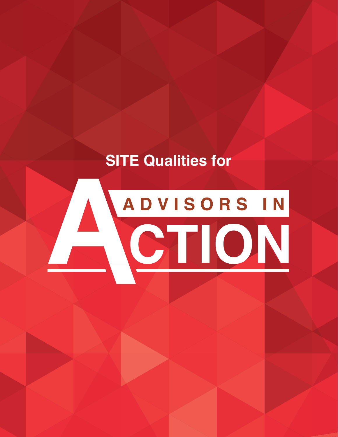# **SITE Qualities for**

# ADVISORS IN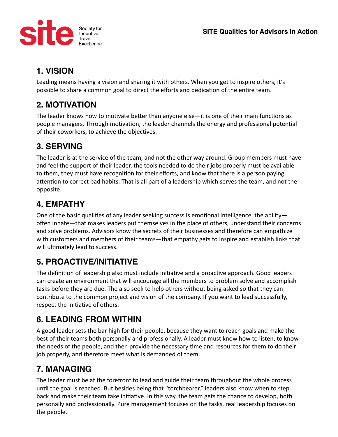

### **1. VISION**

Leading means having a vision and sharing it with others. When you get to inspire others, it's possible to share a common goal to direct the efforts and dedication of the entire team.

### **2. MOTIVATION**

The leader knows how to motivate better than anyone else—it is one of their main functions as people managers. Through motivation, the leader channels the energy and professional potential of their coworkers, to achieve the objectives.

### **3. SERVING**

The leader is at the service of the team, and not the other way around. Group members must have and feel the support of their leader, the tools needed to do their jobs properly must be available to them, they must have recognition for their efforts, and know that there is a person paying attention to correct bad habits. That is all part of a leadership which serves the team, and not the opposite.

### **4. EMPATHY**

One of the basic qualities of any leader seeking success is emotional intelligence, the ability often innate—that makes leaders put themselves in the place of others, understand their concerns and solve problems. Advisors know the secrets of their businesses and therefore can empathize with customers and members of their teams—that empathy gets to inspire and establish links that will ultimately lead to success.

## **5. PROACTIVE/INITIATIVE**

The definition of leadership also must include initiative and a proactive approach. Good leaders can create an environment that will encourage all the members to problem solve and accomplish tasks before they are due. The also seek to help others without being asked so that they can contribute to the common project and vision of the company. If you want to lead successfully, respect the initiative of others.

### **6. LEADING FROM WITHIN**

A good leader sets the bar high for their people, because they want to reach goals and make the best of their teams both personally and professionally. A leader must know how to listen, to know the needs of the people, and then provide the necessary time and resources for them to do their job properly, and therefore meet what is demanded of them.

## **7. MANAGING**

The leader must be at the forefront to lead and guide their team throughout the whole process until the goal is reached. But besides being that "torchbearer," leaders also know when to step back and make their team take initiative. In this way, the team gets the chance to develop, both personally and professionally. Pure management focuses on the tasks, real leadership focuses on the people.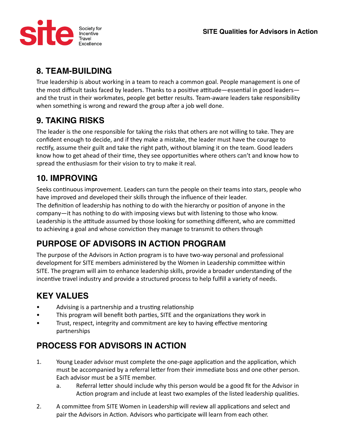

### **8. TEAM-BUILDING**

True leadership is about working in a team to reach a common goal. People management is one of the most difficult tasks faced by leaders. Thanks to a positive attitude—essential in good leaders and the trust in their workmates, people get better results. Team-aware leaders take responsibility when something is wrong and reward the group after a job well done.

### **9. TAKING RISKS**

The leader is the one responsible for taking the risks that others are not willing to take. They are confident enough to decide, and if they make a mistake, the leader must have the courage to rectify, assume their guilt and take the right path, without blaming it on the team. Good leaders know how to get ahead of their time, they see opportunities where others can't and know how to spread the enthusiasm for their vision to try to make it real.

### **10. IMPROVING**

Seeks continuous improvement. Leaders can turn the people on their teams into stars, people who have improved and developed their skills through the influence of their leader. The definition of leadership has nothing to do with the hierarchy or position of anyone in the company—it has nothing to do with imposing views but with listening to those who know. Leadership is the attitude assumed by those looking for something different, who are committed to achieving a goal and whose conviction they manage to transmit to others through

### **PURPOSE OF ADVISORS IN ACTION PROGRAM**

The purpose of the Advisors in Action program is to have two-way personal and professional development for SITE members administered by the Women in Leadership committee within SITE. The program will aim to enhance leadership skills, provide a broader understanding of the incentive travel industry and provide a structured process to help fulfill a variety of needs.

### **KEY VALUES**

- Advising is a partnership and a trusting relationship
- This program will benefit both parties, SITE and the organizations they work in
- Trust, respect, integrity and commitment are key to having effective mentoring partnerships

### **PROCESS FOR ADVISORS IN ACTION**

- 1. Young Leader advisor must complete the one-page application and the application, which must be accompanied by a referral letter from their immediate boss and one other person. Each advisor must be a SITE member.
	- a. Referral letter should include why this person would be a good fit for the Advisor in Action program and include at least two examples of the listed leadership qualities.
- 2. A committee from SITE Women in Leadership will review all applications and select and pair the Advisors in Action. Advisors who participate will learn from each other.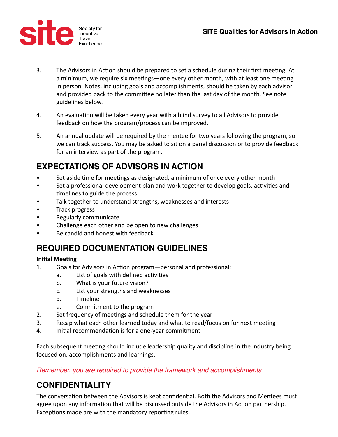

- 3. The Advisors in Action should be prepared to set a schedule during their first meeting. At a minimum, we require six meetings—one every other month, with at least one meeting in person. Notes, including goals and accomplishments, should be taken by each advisor and provided back to the committee no later than the last day of the month. See note guidelines below.
- 4. An evaluation will be taken every year with a blind survey to all Advisors to provide feedback on how the program/process can be improved.
- 5. An annual update will be required by the mentee for two years following the program, so we can track success. You may be asked to sit on a panel discussion or to provide feedback for an interview as part of the program.

### **EXPECTATIONS OF ADVISORS IN ACTION**

- Set aside time for meetings as designated, a minimum of once every other month
- Set a professional development plan and work together to develop goals, activities and timelines to guide the process
- Talk together to understand strengths, weaknesses and interests
- Track progress
- Regularly communicate
- Challenge each other and be open to new challenges
- Be candid and honest with feedback

### **REQUIRED DOCUMENTATION GUIDELINES**

### **Initial Meeting**

- 1. Goals for Advisors in Action program—personal and professional:
	- a. List of goals with defined activities
	- b. What is your future vision?
	- c. List your strengths and weaknesses
	- d. Timeline
	- e. Commitment to the program
- 2. Set frequency of meetings and schedule them for the year
- 3. Recap what each other learned today and what to read/focus on for next meeting
- 4. Initial recommendation is for a one-year commitment

Each subsequent meeting should include leadership quality and discipline in the industry being focused on, accomplishments and learnings.

*Remember, you are required to provide the framework and accomplishments* 

### **CONFIDENTIALITY**

The conversation between the Advisors is kept confidential. Both the Advisors and Mentees must agree upon any information that will be discussed outside the Advisors in Action partnership. Exceptions made are with the mandatory reporting rules.